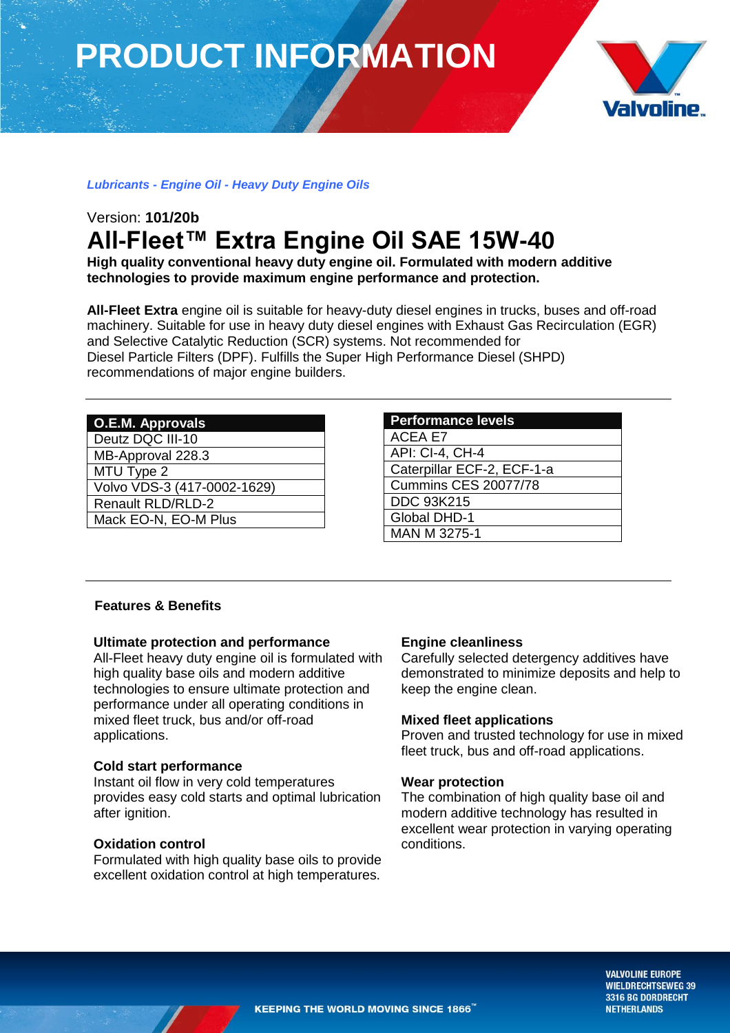# **PRODUCT INFORMATION**



# *Lubricants - Engine Oil - Heavy Duty Engine Oils*

# Version: **101/20b All-Fleet™ Extra Engine Oil SAE 15W-40**

**High quality conventional heavy duty engine oil. Formulated with modern additive technologies to provide maximum engine performance and protection.**

**All-Fleet Extra** engine oil is suitable for heavy-duty diesel engines in trucks, buses and off-road machinery. Suitable for use in heavy duty diesel engines with Exhaust Gas Recirculation (EGR) and Selective Catalytic Reduction (SCR) systems. Not recommended for Diesel Particle Filters (DPF). Fulfills the Super High Performance Diesel (SHPD) recommendations of major engine builders.

| <b>O.E.M. Approvals</b>     |
|-----------------------------|
| Deutz DQC III-10            |
| MB-Approval 228.3           |
| MTU Type 2                  |
| Volvo VDS-3 (417-0002-1629) |
| <b>Renault RLD/RLD-2</b>    |
| Mack EO-N, EO-M Plus        |
|                             |

| <b>Performance levels</b>   |
|-----------------------------|
| <b>ACEA E7</b>              |
| <b>API: CI-4, CH-4</b>      |
| Caterpillar ECF-2, ECF-1-a  |
| <b>Cummins CES 20077/78</b> |
| <b>DDC 93K215</b>           |
| Global DHD-1                |
| MAN M 3275-1                |

# **Features & Benefits**

# **Ultimate protection and performance**

All-Fleet heavy duty engine oil is formulated with high quality base oils and modern additive technologies to ensure ultimate protection and performance under all operating conditions in mixed fleet truck, bus and/or off-road applications.

# **Cold start performance**

Instant oil flow in very cold temperatures provides easy cold starts and optimal lubrication after ignition.

# **Oxidation control**

Formulated with high quality base oils to provide excellent oxidation control at high temperatures.

# **Engine cleanliness**

Carefully selected detergency additives have demonstrated to minimize deposits and help to keep the engine clean.

# **Mixed fleet applications**

Proven and trusted technology for use in mixed fleet truck, bus and off-road applications.

#### **Wear protection**

The combination of high quality base oil and modern additive technology has resulted in excellent wear protection in varying operating conditions.

> **VALVOLINE EUROPE WIELDRECHTSEWEG 39 3316 BG DORDRECHT NETHERLANDS**